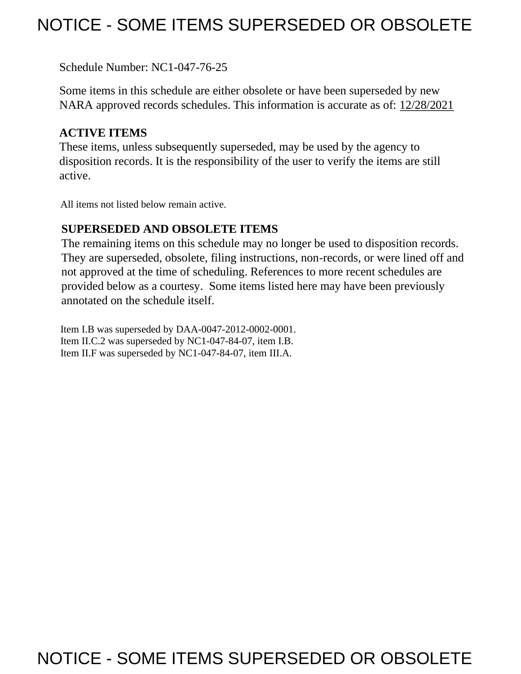## NOTICE - SOME ITEMS SUPERSEDED OR OBSOLETE

Schedule Number: NC1-047-76-25

 Some items in this schedule are either obsolete or have been superseded by new NARA approved records schedules. This information is accurate as of: 12/28/2021

## **ACTIVE ITEMS**

 These items, unless subsequently superseded, may be used by the agency to disposition records. It is the responsibility of the user to verify the items are still active.

All items not listed below remain active.

## **SUPERSEDED AND OBSOLETE ITEMS**

 The remaining items on this schedule may no longer be used to disposition records. not approved at the time of scheduling. References to more recent schedules are provided below as a courtesy. Some items listed here may have been previously They are superseded, obsolete, filing instructions, non-records, or were lined off and annotated on the schedule itself.

Item I.B was superseded by DAA-0047-2012-0002-0001. Item II.C.2 was superseded by NC1-047-84-07, item I.B. Item II.F was superseded by NC1-047-84-07, item III.A.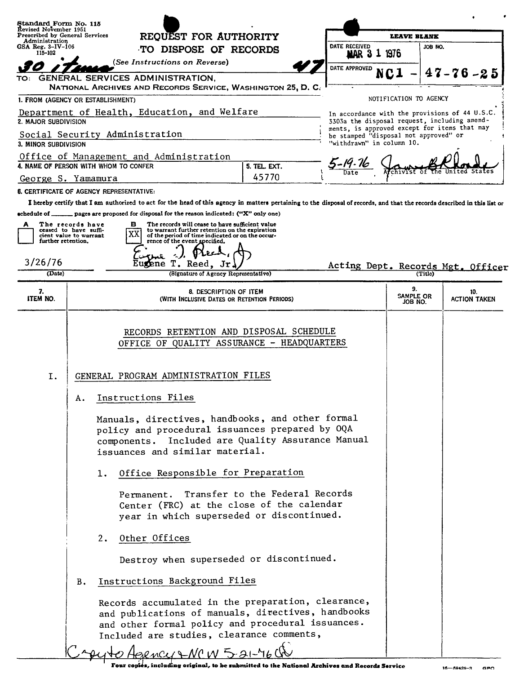|                                                                         | Standard Form No. 115<br>Revised November 1951                                                                                                                                                                               |                                                                                                                                                                                                                                                   |                                                                                                |                               |                            |
|-------------------------------------------------------------------------|------------------------------------------------------------------------------------------------------------------------------------------------------------------------------------------------------------------------------|---------------------------------------------------------------------------------------------------------------------------------------------------------------------------------------------------------------------------------------------------|------------------------------------------------------------------------------------------------|-------------------------------|----------------------------|
| Prescribed by General Services<br>Administration<br>GSA Reg. $3-IV-106$ |                                                                                                                                                                                                                              | REQUEST FOR AUTHORITY                                                                                                                                                                                                                             | DATE RECEIVED                                                                                  | <b>LEAVE BLANK</b><br>JOB NO. |                            |
| 115-102                                                                 |                                                                                                                                                                                                                              | TO DISPOSE OF RECORDS                                                                                                                                                                                                                             | 1976<br>MAR <sub>3</sub>                                                                       |                               |                            |
|                                                                         | (See Instructions on Reverse)                                                                                                                                                                                                |                                                                                                                                                                                                                                                   | DATE APPROVED                                                                                  |                               | $47 - 76 - 25$             |
| TO:                                                                     | GENERAL SERVICES ADMINISTRATION.<br>NATIONAL ARCHIVES AND RECORDS SERVICE, WASHINGTON 25, D. C.                                                                                                                              |                                                                                                                                                                                                                                                   |                                                                                                |                               |                            |
|                                                                         | 1. FROM (AGENCY OR ESTABLISHMENT)                                                                                                                                                                                            |                                                                                                                                                                                                                                                   |                                                                                                | NOTIFICATION TO AGENCY        |                            |
| 2. MAJOR SUBDIVISION                                                    | Department of Health, Education, and Welfare                                                                                                                                                                                 |                                                                                                                                                                                                                                                   | In accordance with the provisions of 44 U.S.C.<br>3303a the disposal request, including amend- |                               |                            |
|                                                                         | Social Security Administration                                                                                                                                                                                               |                                                                                                                                                                                                                                                   | ments, is approved except for items that may<br>be stamped "disposal not approved" or          |                               |                            |
| 3. MINOR SUBDIVISION                                                    |                                                                                                                                                                                                                              |                                                                                                                                                                                                                                                   | "withdrawn" in column 10.                                                                      |                               |                            |
|                                                                         | Office of Management and Administration                                                                                                                                                                                      |                                                                                                                                                                                                                                                   | 5-19:16                                                                                        |                               |                            |
|                                                                         | 4. NAME OF PERSON WITH WHOM TO CONFER                                                                                                                                                                                        | 5. TEL. EXT.<br>45770                                                                                                                                                                                                                             | Date                                                                                           |                               |                            |
|                                                                         | George S. Yamamura                                                                                                                                                                                                           |                                                                                                                                                                                                                                                   |                                                                                                |                               |                            |
|                                                                         | <b>6. CERTIFICATE OF AGENCY REPRESENTATIVE:</b><br>I hereby certify that I am authorized to act for the head of this agency in matters pertaining to the disposal of records, and that the records described in this list or |                                                                                                                                                                                                                                                   |                                                                                                |                               |                            |
|                                                                         | echedule of ______ pages are proposed for disposal for the reason indicated: ("X" only one)                                                                                                                                  |                                                                                                                                                                                                                                                   |                                                                                                |                               |                            |
| A                                                                       | The records have<br>в<br>ceased to have suffi-                                                                                                                                                                               | The records will cease to have sufficient value<br>to warrant further retention on the expiration                                                                                                                                                 |                                                                                                |                               |                            |
| further retention.                                                      | cient value to warrant<br>rence of the event specified.                                                                                                                                                                      | of the period of time indicated or on the occur-                                                                                                                                                                                                  |                                                                                                |                               |                            |
|                                                                         |                                                                                                                                                                                                                              |                                                                                                                                                                                                                                                   |                                                                                                |                               |                            |
| 3/26/76                                                                 | T. Reed,<br>urene                                                                                                                                                                                                            | Jr                                                                                                                                                                                                                                                | Acting Dept. Records Mgt. Officer                                                              |                               |                            |
| (Date)                                                                  |                                                                                                                                                                                                                              | (Signature of Agency Representative)                                                                                                                                                                                                              |                                                                                                | (Title)                       |                            |
| 7.<br>ITEM NO.                                                          |                                                                                                                                                                                                                              | 8. DESCRIPTION OF ITEM<br>(WITH INCLUSIVE DATES OR RETENTION PERIODS)                                                                                                                                                                             |                                                                                                | 9.<br>SAMPLE OR<br>JOB NO.    | 10.<br><b>ACTION TAKEN</b> |
| Ι.                                                                      | GENERAL PROGRAM ADMINISTRATION FILES<br>Instructions Files<br>Α.<br>issuances and similar material.                                                                                                                          | RECORDS RETENTION AND DISPOSAL SCHEDULE<br>OFFICE OF QUALITY ASSURANCE - HEADQUARTERS<br>Manuals, directives, handbooks, and other formal<br>policy and procedural issuances prepared by OQA<br>components. Included are Quality Assurance Manual |                                                                                                |                               |                            |

FOR CONSESSION CONTRACT TO A PROPERTY AND RELEASE AND RELATIONSHIPS AND RECORDS SERVICE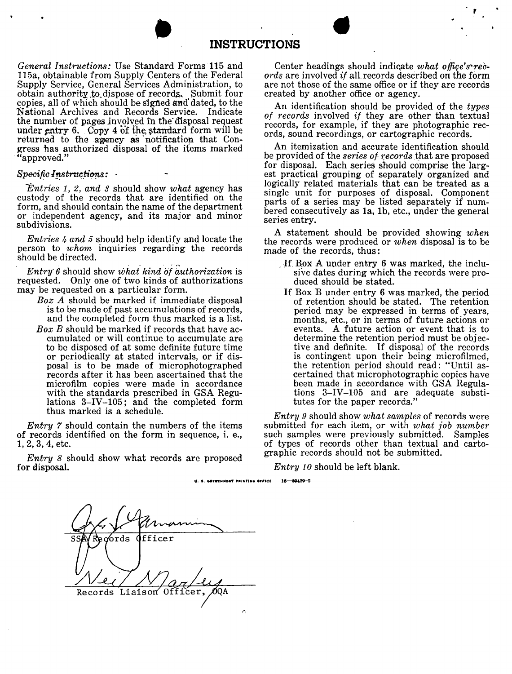# INSTRUCTIONS **INSTRUCTIONS**

*General Instructions:* Use Standard Forms 115 and 115a, obtainable from Supply Centers of the Federal Supply Service, General Services Administration, to obtain authority to dispose of records. Submit four copies, all of which should be signed and dated, to the National Archives and Records Serviee. Indicate the number of pages involved in the disposal request under entry 6. Copy 4 of the standard form will be returned to fhe agency as notification that Congress has authorized disposal of the items marked "approved."

#### $Specific$ *Instructions*:  $\cdot$

*Entries 1, 2, and 3* should show *what* agency has custody of the records that are identified on the form, and should contain the name of the department or independent agency, and its major and minor subdivisions.

*Entries 4 and* 5 should help identify and locate the person to *whom* inquiries regarding the records should be directed.

*Entry* 6 should show *what kind of authorization* is requested. Only one of two kinds of authorizations may be requested on a particular form.

- *Box A* should be marked if immediate disposal is to be made of past accumulations of records, and the completed form thus marked is a list.
- *Box B* should be marked if records that have accumulated or will continue to accumulate are to be disposed of at some definite future time or periodically at stated intervals, or if disposal is to be made of microphotographed records after it has been ascertained that the microfilm copies were made in accordance with the standards prescribed in GSA Regulations 3-IV-105; and the completed form thus marked is a schedule.

*Entry* 7 should contain the numbers of the items of records identified on the form in sequence, i. e., 1, 2, 3, 4, etc.

*Entry* 8 should show what records are proposed for disposal.

Center headings should indicate what office's rec*ords* are involved *if* all.records described on the form are not those of the same office or if they are records created by another office or agency.

,

An identification should be provided of the *types of records* involved *if* they are other than textual records, for example, if they are photographic records, sound recordings, or cartographic records.

An itemization and accurate identification should be provided of the *series of ?:ecords* that are proposed for disposal. Each series should comprise the largest practical grouping of separately organized and logically related materials that can be treated as a single unit for purposes of disposal. Component parts of a series may be listed separately if numbered consecutively as la, lb, etc., under the general series entry.

A statement should be provided showing *when*  the records were produced or *when* disposal is to be made of the records, thus:

- . If Box A under entry 6 was marked, the inclusive dates during which the records were produced should be stated.
- If Box B under entry 6 was marked, the period of retention should be stated. The retention period may be expressed in terms of years, months, etc., or in terms of future actions or events. A future action or event that is to determine the retention period must be objective and definite. If disposal of the records is contingent upon their being microfilmed, the retention period should read: "Until ascertained that microphotographic copies have been made in accordance with GSA Regulations 3-IV-105 and are adequate substitutes for the paper records."

*Entry 9* should show *what samples* of records were submitted for each item, or with *what job number*  such samples were previously submitted. Samples of types of records other than textual and cartographic records should not be submitted.

*Entry* 10 should be left blank.

Regords fficer Liaison Officer, OOA Records *r,* 

**u. I. aewnNMUI' P•INTING** .,,,c, **1&-6042Q-2**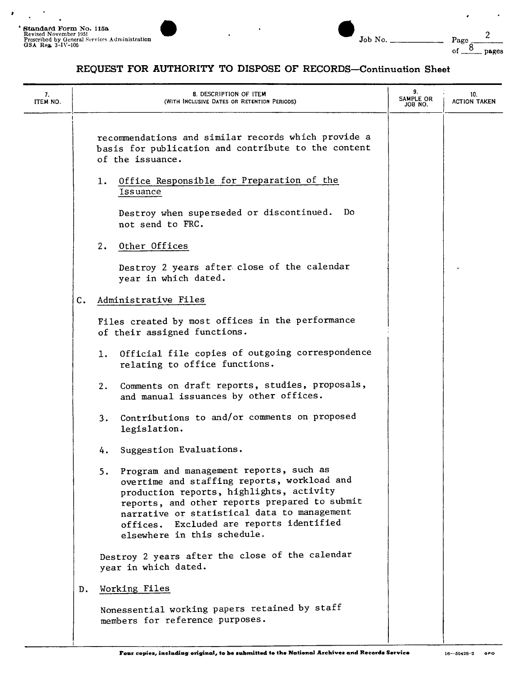$\lambda$ 

| 7.<br>ITEM NO. |                | 8. DESCRIPTION OF ITEM<br>(WITH INCLUSIVE DATES OR RETENTION PERIODS)                                                                                                                                                                                                                                               | 9.<br>SAMPLE OR<br>JOB NO. | 10.<br><b>ACTION TAKEN</b> |
|----------------|----------------|---------------------------------------------------------------------------------------------------------------------------------------------------------------------------------------------------------------------------------------------------------------------------------------------------------------------|----------------------------|----------------------------|
|                |                | recommendations and similar records which provide a<br>basis for publication and contribute to the content<br>of the issuance.                                                                                                                                                                                      |                            |                            |
|                |                | Office Responsible for Preparation of the<br>1.<br>Issuance                                                                                                                                                                                                                                                         |                            |                            |
|                |                | Do<br>Destroy when superseded or discontinued.<br>not send to FRC.                                                                                                                                                                                                                                                  |                            |                            |
|                |                | Other Offices<br>2.                                                                                                                                                                                                                                                                                                 |                            |                            |
|                |                | Destroy 2 years after close of the calendar<br>year in which dated.                                                                                                                                                                                                                                                 |                            |                            |
|                | $\mathbf{C}$ . | Administrative Files                                                                                                                                                                                                                                                                                                |                            |                            |
|                |                | Files created by most offices in the performance<br>of their assigned functions.                                                                                                                                                                                                                                    |                            |                            |
|                |                | Official file copies of outgoing correspondence<br>1.<br>relating to office functions.                                                                                                                                                                                                                              |                            |                            |
|                |                | Comments on draft reports, studies, proposals,<br>2.<br>and manual issuances by other offices.                                                                                                                                                                                                                      |                            |                            |
|                |                | Contributions to and/or comments on proposed<br>3.<br>legislation.                                                                                                                                                                                                                                                  |                            |                            |
|                |                | Suggestion Evaluations.<br>4.                                                                                                                                                                                                                                                                                       |                            |                            |
|                |                | Program and management reports, such as<br>5.<br>overtime and staffing reports, workload and<br>production reports, highlights, activity<br>reports, and other reports prepared to submit<br>narrative or statistical data to management<br>offices. Excluded are reports identified<br>elsewhere in this schedule. |                            |                            |
|                |                | Destroy 2 years after the close of the calendar<br>year in which dated.                                                                                                                                                                                                                                             |                            |                            |
|                | D.             | Working Files                                                                                                                                                                                                                                                                                                       |                            |                            |
|                |                | Nonessential working papers retained by staff<br>members for reference purposes.                                                                                                                                                                                                                                    |                            |                            |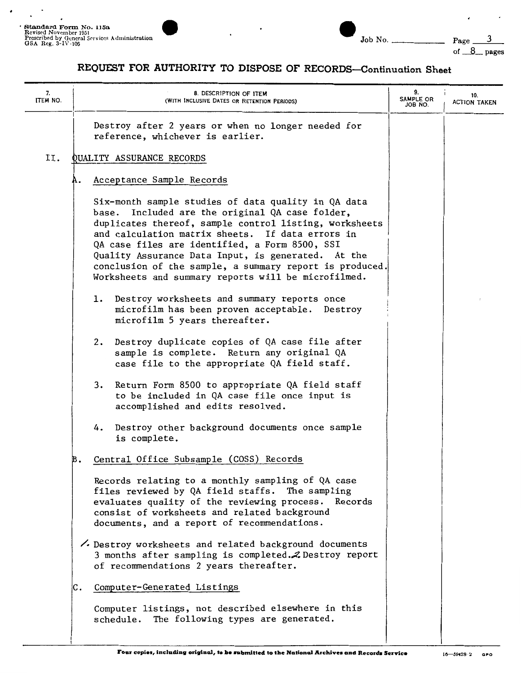of  $8$  pages

| 7.<br>ITEM NO. | 8. DESCRIPTION OF ITEM<br>(WITH INCLUSIVE DATES OR RETENTION PERIODS)                                                                                                                                                                                                                                                                                                                                                                          | 9.<br>SAMPLE OR<br>JOB NO. | 10.<br><b>ACTION TAKEN</b> |
|----------------|------------------------------------------------------------------------------------------------------------------------------------------------------------------------------------------------------------------------------------------------------------------------------------------------------------------------------------------------------------------------------------------------------------------------------------------------|----------------------------|----------------------------|
|                | Destroy after 2 years or when no longer needed for<br>reference, whichever is earlier.                                                                                                                                                                                                                                                                                                                                                         |                            |                            |
| II.            | QUALITY ASSURANCE RECORDS                                                                                                                                                                                                                                                                                                                                                                                                                      |                            |                            |
|                | Acceptance Sample Records<br>Α.                                                                                                                                                                                                                                                                                                                                                                                                                |                            |                            |
|                | Six-month sample studies of data quality in QA data<br>base. Included are the original QA case folder,<br>duplicates thereof, sample control listing, worksheets<br>and calculation matrix sheets. If data errors in<br>QA case files are identified, a Form 8500, SSI<br>Quality Assurance Data Input, is generated. At the<br>conclusion of the sample, a summary report is produced.<br>Worksheets and summary reports will be microfilmed. |                            |                            |
|                | 1. Destroy worksheets and summary reports once<br>microfilm has been proven acceptable. Destroy<br>microfilm 5 years thereafter.                                                                                                                                                                                                                                                                                                               |                            |                            |
|                | Destroy duplicate copies of QA case file after<br>2.<br>sample is complete. Return any original QA<br>case file to the appropriate QA field staff.                                                                                                                                                                                                                                                                                             |                            |                            |
|                | Return Form 8500 to appropriate QA field staff<br>3.<br>to be included in QA case file once input is<br>accomplished and edits resolved.                                                                                                                                                                                                                                                                                                       |                            |                            |
|                | Destroy other background documents once sample<br>4.<br>is complete.                                                                                                                                                                                                                                                                                                                                                                           |                            |                            |
|                | Central Office Subsample (COSS) Records<br>в.                                                                                                                                                                                                                                                                                                                                                                                                  |                            |                            |
|                | Records relating to a monthly sampling of QA case<br>files reviewed by QA field staffs. The sampling<br>evaluates quality of the reviewing process. Records<br>consist of worksheets and related background<br>documents, and a report of recommendations.                                                                                                                                                                                     |                            |                            |
|                | bestroy worksheets and related background documents<br>3 months after sampling is completed. Z Destroy report<br>of recommendations 2 years thereafter.                                                                                                                                                                                                                                                                                        |                            |                            |
|                | Computer-Generated Listings<br>c.                                                                                                                                                                                                                                                                                                                                                                                                              |                            |                            |
|                | Computer listings, not described elsewhere in this<br>The following types are generated.<br>schedule.                                                                                                                                                                                                                                                                                                                                          |                            |                            |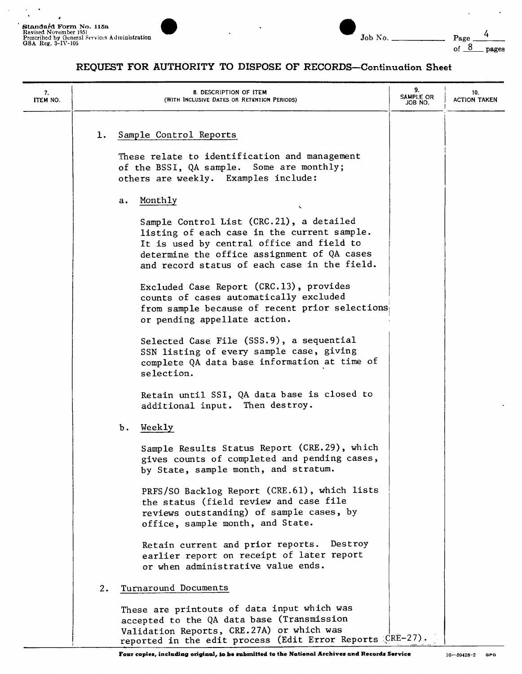

| Job | N۰ |
|-----|----|

4

| 7.<br>ITEM NO. |    | 8. DESCRIPTION OF ITEM<br>(WITH INCLUSIVE DATES OR RETENTION PERIODS)                                                                                                                                                               | 9.<br>SAMPLE OR<br>JOB NO. | 10.<br><b>ACTION TAKEN</b> |
|----------------|----|-------------------------------------------------------------------------------------------------------------------------------------------------------------------------------------------------------------------------------------|----------------------------|----------------------------|
|                | 1. | Sample Control Reports<br>These relate to identification and management<br>of the BSSI, QA sample. Some are monthly;<br>others are weekly. Examples include:                                                                        |                            |                            |
|                |    | Monthly<br>а.                                                                                                                                                                                                                       |                            |                            |
|                |    | Sample Control List (CRC.21), a detailed<br>listing of each case in the current sample.<br>It is used by central office and field to<br>determine the office assignment of QA cases<br>and record status of each case in the field. |                            |                            |
|                |    | Excluded Case Report (CRC.13), provides<br>counts of cases automatically excluded<br>from sample because of recent prior selections<br>or pending appellate action.                                                                 |                            |                            |
|                |    | Selected Case File (SSS.9), a sequential<br>SSN listing of every sample case, giving<br>complete QA data base information at time of<br>selection.                                                                                  |                            |                            |
|                |    | Retain until SSI, QA data base is closed to<br>additional input. Then destroy.                                                                                                                                                      |                            |                            |
|                |    | Ъ.<br>Weekly                                                                                                                                                                                                                        |                            |                            |
|                |    | Sample Results Status Report (CRE.29), which<br>gives counts of completed and pending cases,<br>by State, sample month, and stratum.                                                                                                |                            |                            |
|                |    | PRFS/SO Backlog Report (CRE.61), which lists<br>the status (field review and case file<br>reviews outstanding) of sample cases, by<br>office, sample month, and State.                                                              |                            |                            |
|                |    | Retain current and prior reports. Destroy<br>earlier report on receipt of later report<br>or when administrative value ends.                                                                                                        |                            |                            |
|                | 2. | Turnaround Documents                                                                                                                                                                                                                |                            |                            |
|                |    | These are printouts of data input which was<br>accepted to the QA data base (Transmission<br>Validation Reports, CRE.27A) or which was<br>reported in the edit process (Edit Error Reports $CRE-27$ ).                              |                            |                            |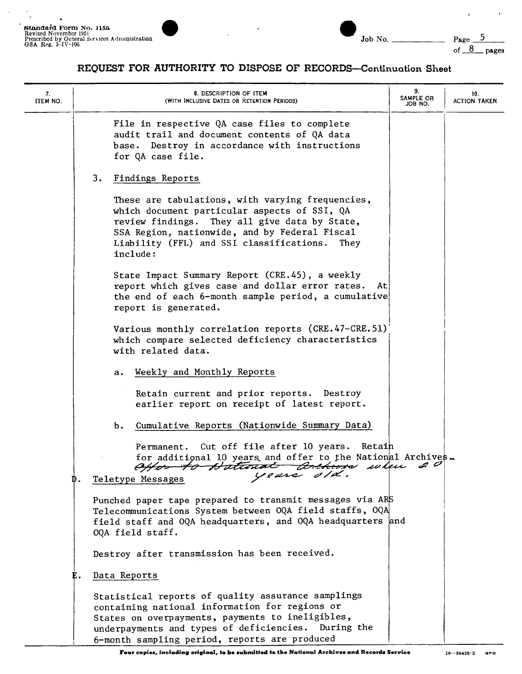$\bullet$ 

 $\overline{a}$ 



 $\hat{r}$ 

 $\mathcal{A}$ 

| 7.<br>ITEM NO. | 8. DESCRIPTION OF ITEM<br>(WITH INCLUSIVE DATES OR RETENTION PERIODS)                                                                                                                                                                                              | 9.<br>SAMPLE OR<br>JOB NO. | 10.<br><b>ACTION TAKEN</b> |
|----------------|--------------------------------------------------------------------------------------------------------------------------------------------------------------------------------------------------------------------------------------------------------------------|----------------------------|----------------------------|
|                | File in respective QA case files to complete<br>audit trail and document contents of QA data<br>base. Destroy in accordance with instructions<br>for QA case file.                                                                                                 |                            |                            |
|                | 3.<br>Findings Reports                                                                                                                                                                                                                                             |                            |                            |
|                | These are tabulations, with varying frequencies,<br>which document particular aspects of SSI, QA<br>review findings. They all give data by State,<br>SSA Region, nationwide, and by Federal Fiscal<br>Liability (FFL) and SSI classifications.<br>They<br>include: |                            |                            |
|                | State Impact Summary Report (CRE.45), a weekly<br>report which gives case and dollar error rates. At<br>the end of each 6-month sample period, a cumulative<br>report is generated.                                                                                |                            |                            |
|                | Various monthly correlation reports (CRE.47-CRE.51)<br>which compare selected deficiency characteristics<br>with related data.                                                                                                                                     |                            |                            |
|                | Weekly and Monthly Reports<br>а.                                                                                                                                                                                                                                   |                            |                            |
|                | Retain current and prior reports. Destroy<br>earlier report on receipt of latest report.                                                                                                                                                                           |                            |                            |
|                | Cumulative Reports (Nationwide Summary Data)<br>b.                                                                                                                                                                                                                 |                            |                            |
|                | Permanent. Cut off file after 10 years.<br>Retain<br>for additional 10 years and offer to the National Archives.<br>effor to Dational Debeves when<br>years old.<br>Teletype Messages                                                                              | 2 O                        |                            |
|                | Punched paper tape prepared to transmit messages via ARS<br>Telecommunications System between OQA field staffs, OQA<br>field staff and OQA headquarters, and OQA headquarters and<br>OQA field staff.                                                              |                            |                            |
|                | Destroy after transmission has been received.                                                                                                                                                                                                                      |                            |                            |
|                | Data Reports<br>E.                                                                                                                                                                                                                                                 |                            |                            |
|                | Statistical reports of quality assurance samplings<br>containing national information for regions or<br>States on overpayments, payments to ineligibles,<br>underpayments and types of deficiencies. During the<br>6-month sampling period, reports are produced   |                            |                            |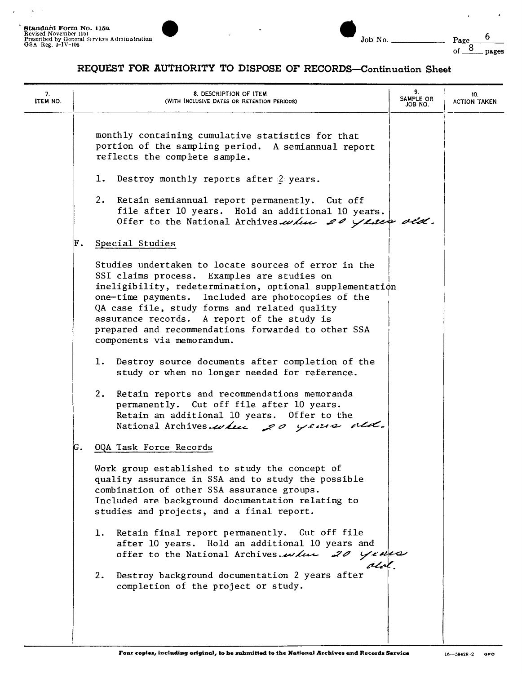$\bar{p}$ 



of  $\frac{8}{2}$  pages

 $\bar{\epsilon}$ 

 $\overline{\phantom{a}}$ 

| 7.<br>ITEM NO. | 8. DESCRIPTION OF ITEM<br>(WITH INCLUSIVE DATES OR RETENTION PERIODS)                                                                                                                                                                                                                                                                                                                                      | 9.<br>SAMPLE OR<br>JOB NO. | 10.<br><b>ACTION TAKEN</b> |
|----------------|------------------------------------------------------------------------------------------------------------------------------------------------------------------------------------------------------------------------------------------------------------------------------------------------------------------------------------------------------------------------------------------------------------|----------------------------|----------------------------|
|                | monthly containing cumulative statistics for that<br>portion of the sampling period. A semiannual report<br>reflects the complete sample.                                                                                                                                                                                                                                                                  |                            |                            |
|                | Destroy monthly reports after $2$ years.<br>ı.                                                                                                                                                                                                                                                                                                                                                             |                            |                            |
|                | 2. Retain semiannual report permanently. Cut off<br>file after 10 years. Hold an additional 10 years.<br>Offer to the National Archives when 20 years ald.                                                                                                                                                                                                                                                 |                            |                            |
|                | F.<br>Special Studies                                                                                                                                                                                                                                                                                                                                                                                      |                            |                            |
|                | Studies undertaken to locate sources of error in the<br>SSI claims process. Examples are studies on<br>ineligibility, redetermination, optional supplementation<br>one-time payments. Included are photocopies of the<br>QA case file, study forms and related quality<br>assurance records. A report of the study is<br>prepared and recommendations forwarded to other SSA<br>components via memorandum. |                            |                            |
|                | Destroy source documents after completion of the<br>1.<br>study or when no longer needed for reference.                                                                                                                                                                                                                                                                                                    |                            |                            |
|                | 2. Retain reports and recommendations memoranda<br>permanently. Cut off file after 10 years.<br>Retain an additional 10 years. Offer to the<br>National Archives.when 20 years ald.                                                                                                                                                                                                                        |                            |                            |
|                | OQA Task Force Records<br>κ.                                                                                                                                                                                                                                                                                                                                                                               |                            |                            |
|                | Work group established to study the concept of<br>quality assurance in SSA and to study the possible<br>combination of other SSA assurance groups.<br>Included are background documentation relating to<br>studies and projects, and a final report.                                                                                                                                                       |                            |                            |
|                | Retain final report permanently. Cut off file<br>1.<br>after 10 years. Hold an additional 10 years and<br>offer to the National Archives. when 20 years                                                                                                                                                                                                                                                    |                            |                            |
|                | Destroy background documentation 2 years after<br>2.<br>completion of the project or study.                                                                                                                                                                                                                                                                                                                |                            |                            |
|                |                                                                                                                                                                                                                                                                                                                                                                                                            |                            |                            |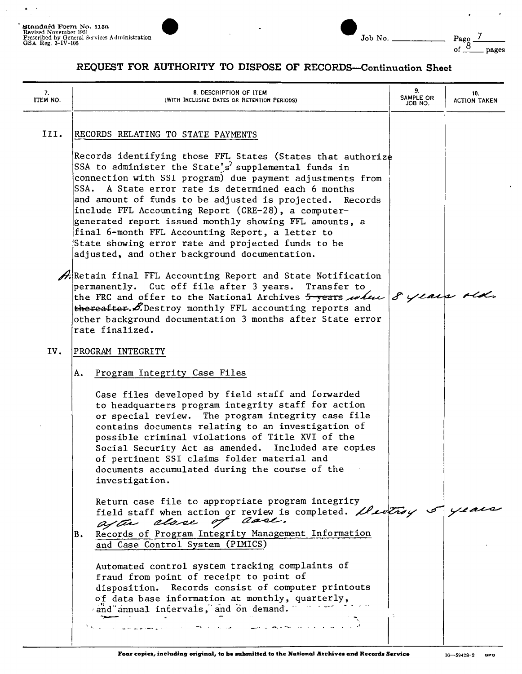

| $\overline{\phantom{a}}$<br>- | - |
|-------------------------------|---|

Page  $\frac{7}{\text{of } 8}$  pages

 $\ddot{\phantom{a}}$ 

| 7.<br>ITEM NO. | 8. DESCRIPTION OF ITEM<br>(WITH INCLUSIVE DATES OR RETENTION PERIODS)                                                                                                                                                                                                                                                                                                                                                                                                                                                                                                                                                                                                                                                                                                                                                                                                                                                                                                            | 9.<br>SAMPLE OR<br>JOB NO. | 10.<br><b>ACTION TAKEN</b> |
|----------------|----------------------------------------------------------------------------------------------------------------------------------------------------------------------------------------------------------------------------------------------------------------------------------------------------------------------------------------------------------------------------------------------------------------------------------------------------------------------------------------------------------------------------------------------------------------------------------------------------------------------------------------------------------------------------------------------------------------------------------------------------------------------------------------------------------------------------------------------------------------------------------------------------------------------------------------------------------------------------------|----------------------------|----------------------------|
| III.           | RECORDS RELATING TO STATE PAYMENTS<br>Records identifying those FFL States (States that authorize<br>SSA to administer the State's' supplemental funds in<br>connection with SSI program) due payment adjustments from<br>A State error rate is determined each 6 months<br>SSA.<br>and amount of funds to be adjusted is projected. Records<br>include FFL Accounting Report (CRE-28), a computer-<br>generated report issued monthly showing FFL amounts, a<br>final 6-month FFL Accounting Report, a letter to<br>State showing error rate and projected funds to be<br>adjusted, and other background documentation.<br>$\mathscr{A}$ Retain final FFL Accounting Report and State Notification<br>permanently. Cut off file after 3 years. Transfer to<br>the FRC and offer to the National Archives 5 years when 8 years rid.<br>thereafter. S. Destroy monthly FFL accounting reports and<br>other background documentation 3 months after State error<br>rate finalized. |                            |                            |
| IV.            | PROGRAM INTEGRITY<br>Program Integrity Case Files<br>Α.                                                                                                                                                                                                                                                                                                                                                                                                                                                                                                                                                                                                                                                                                                                                                                                                                                                                                                                          |                            |                            |
|                | Case files developed by field staff and forwarded<br>to headquarters program integrity staff for action<br>or special review. The program integrity case file<br>contains documents relating to an investigation of<br>possible criminal violations of Title XVI of the<br>Social Security Act as amended. Included are copies<br>of pertinent SSI claims folder material and<br>documents accumulated during the course of the<br>investigation.                                                                                                                                                                                                                                                                                                                                                                                                                                                                                                                                |                            |                            |
|                | Return case file to appropriate program integrity<br>field staff when action or review is completed. Deveting of years<br>after close of case.<br>Records of Program Integrity Management Information<br>B.<br>and Case Control System (PIMICS)<br>Automated control system tracking complaints of<br>fraud from point of receipt to point of<br>disposition. Records consist of computer printouts<br>of data base information at monthly, quarterly,                                                                                                                                                                                                                                                                                                                                                                                                                                                                                                                           |                            |                            |
|                | and annual intervals, and on demand.<br>المستوفى المدارين المتحدة المستقرر المستوفى المستوفى المستوفى المستوفى المستوفى المستوفى المستوفى المستوفى المستوفى المستوفى                                                                                                                                                                                                                                                                                                                                                                                                                                                                                                                                                                                                                                                                                                                                                                                                             |                            |                            |